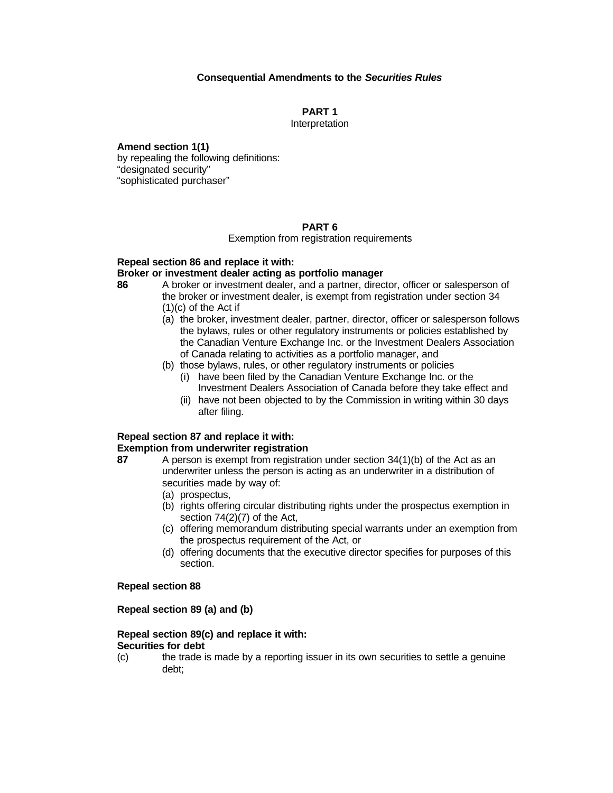# **Consequential Amendments to the** *Securities Rules*

**PART 1**

Interpretation

**Amend section 1(1)**  by repealing the following definitions: "designated security" "sophisticated purchaser"

#### **PART 6**

Exemption from registration requirements

#### **Repeal section 86 and replace it with:**

#### **Broker or investment dealer acting as portfolio manager**

- **86** A broker or investment dealer, and a partner, director, officer or salesperson of the broker or investment dealer, is exempt from registration under section 34 (1)(c) of the Act if
	- (a) the broker, investment dealer, partner, director, officer or salesperson follows the bylaws, rules or other regulatory instruments or policies established by the Canadian Venture Exchange Inc. or the Investment Dealers Association of Canada relating to activities as a portfolio manager, and
	- (b) those bylaws, rules, or other regulatory instruments or policies
		- (i) have been filed by the Canadian Venture Exchange Inc. or the Investment Dealers Association of Canada before they take effect and
		- (ii) have not been objected to by the Commission in writing within 30 days after filing.

#### **Repeal section 87 and replace it with: Exemption from underwriter registration**

# **87** A person is exempt from registration under section 34(1)(b) of the Act as an

- underwriter unless the person is acting as an underwriter in a distribution of securities made by way of:
	- (a) prospectus,
	- (b) rights offering circular distributing rights under the prospectus exemption in section 74(2)(7) of the Act,
	- (c) offering memorandum distributing special warrants under an exemption from the prospectus requirement of the Act, or
	- (d) offering documents that the executive director specifies for purposes of this section.

# **Repeal section 88**

# **Repeal section 89 (a) and (b)**

# **Repeal section 89(c) and replace it with:**

#### **Securities for debt**

(c) the trade is made by a reporting issuer in its own securities to settle a genuine debt;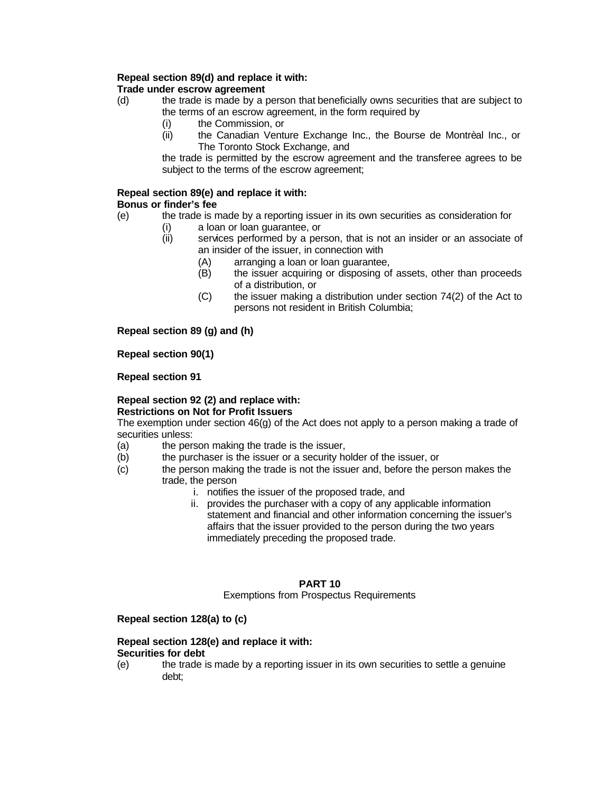# **Repeal section 89(d) and replace it with:**

# **Trade under escrow agreement**

- (d) the trade is made by a person that beneficially owns securities that are subject to the terms of an escrow agreement, in the form required by
	- (i) the Commission, or
	- (ii) the Canadian Venture Exchange Inc., the Bourse de Montrèal Inc., or The Toronto Stock Exchange, and

the trade is permitted by the escrow agreement and the transferee agrees to be subject to the terms of the escrow agreement;

#### **Repeal section 89(e) and replace it with: Bonus or finder's fee**

- (e) the trade is made by a reporting issuer in its own securities as consideration for
	- (i) a loan or loan guarantee, or<br>(ii) services performed by a per
		- services performed by a person, that is not an insider or an associate of an insider of the issuer, in connection with
			- (A) arranging a loan or loan guarantee,
			- (B) the issuer acquiring or disposing of assets, other than proceeds of a distribution, or
			- (C) the issuer making a distribution under section 74(2) of the Act to persons not resident in British Columbia;

**Repeal section 89 (g) and (h)**

**Repeal section 90(1)** 

**Repeal section 91**

#### **Repeal section 92 (2) and replace with: Restrictions on Not for Profit Issuers**

The exemption under section 46(g) of the Act does not apply to a person making a trade of securities unless:

- (a) the person making the trade is the issuer,
- (b) the purchaser is the issuer or a security holder of the issuer, or
- (c) the person making the trade is not the issuer and, before the person makes the trade, the person
	- i. notifies the issuer of the proposed trade, and
	- ii. provides the purchaser with a copy of any applicable information statement and financial and other information concerning the issuer's affairs that the issuer provided to the person during the two years immediately preceding the proposed trade.

# **PART 10**

# Exemptions from Prospectus Requirements

# **Repeal section 128(a) to (c)**

#### **Repeal section 128(e) and replace it with: Securities for debt**

(e) the trade is made by a reporting issuer in its own securities to settle a genuine debt;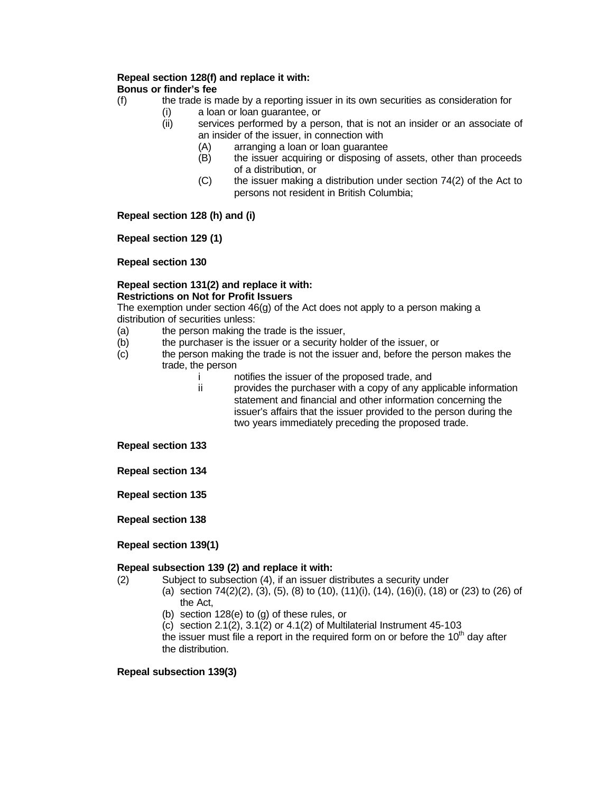#### **Repeal section 128(f) and replace it with: Bonus or finder's fee**

- (f) the trade is made by a reporting issuer in its own securities as consideration for
	- (i) a loan or loan guarantee, or
	- (ii) services performed by a person, that is not an insider or an associate of an insider of the issuer, in connection with
		- (A) arranging a loan or loan guarantee
		- (B) the issuer acquiring or disposing of assets, other than proceeds of a distribution, or
		- (C) the issuer making a distribution under section 74(2) of the Act to persons not resident in British Columbia;

**Repeal section 128 (h) and (i)**

**Repeal section 129 (1)** 

**Repeal section 130**

# **Repeal section 131(2) and replace it with: Restrictions on Not for Profit Issuers**

The exemption under section 46(g) of the Act does not apply to a person making a distribution of securities unless:

- (a) the person making the trade is the issuer,<br>(b) the purchaser is the issuer or a security ho
- the purchaser is the issuer or a security holder of the issuer, or
- (c) the person making the trade is not the issuer and, before the person makes the trade, the person<br>n
	- notifies the issuer of the proposed trade, and
	- ii provides the purchaser with a copy of any applicable information statement and financial and other information concerning the issuer's affairs that the issuer provided to the person during the two years immediately preceding the proposed trade.

**Repeal section 133**

**Repeal section 134**

**Repeal section 135**

**Repeal section 138** 

# **Repeal section 139(1)**

# **Repeal subsection 139 (2) and replace it with:**

- (2) Subject to subsection (4), if an issuer distributes a security under
	- (a) section 74(2)(2), (3), (5), (8) to (10), (11)(i), (14), (16)(i), (18) or (23) to (26) of the Act,
		- (b) section 128(e) to (g) of these rules, or
		- (c) section 2.1(2), 3.1(2) or 4.1(2) of Multilaterial Instrument 45-103

the issuer must file a report in the required form on or before the  $10<sup>th</sup>$  day after the distribution.

# **Repeal subsection 139(3)**